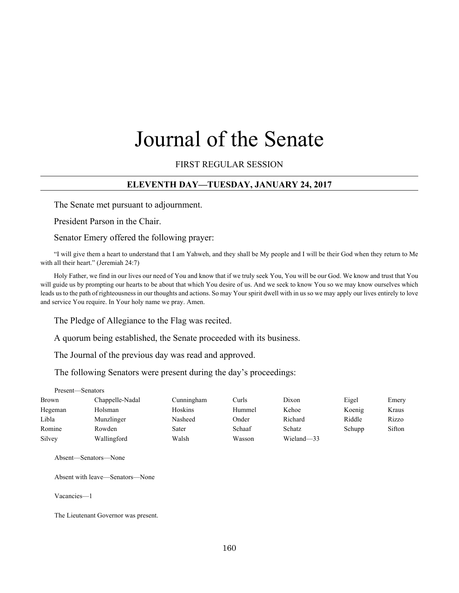# Journal of the Senate

#### FIRST REGULAR SESSION

#### **ELEVENTH DAY—TUESDAY, JANUARY 24, 2017**

The Senate met pursuant to adjournment.

President Parson in the Chair.

Senator Emery offered the following prayer:

"I will give them a heart to understand that I am Yahweh, and they shall be My people and I will be their God when they return to Me with all their heart." (Jeremiah 24:7)

Holy Father, we find in our lives our need of You and know that if we truly seek You, You will be our God. We know and trust that You will guide us by prompting our hearts to be about that which You desire of us. And we seek to know You so we may know ourselves which leads us to the path of righteousness in our thoughts and actions. So may Your spirit dwell with in us so we may apply our lives entirely to love and service You require. In Your holy name we pray. Amen.

The Pledge of Allegiance to the Flag was recited.

A quorum being established, the Senate proceeded with its business.

The Journal of the previous day was read and approved.

The following Senators were present during the day's proceedings:

Present—Senators

| Brown   | Chappelle-Nadal | Cunningham | Curls  | Dixon      | Eigel  | Emery  |
|---------|-----------------|------------|--------|------------|--------|--------|
| Hegeman | Holsman         | Hoskins    | Hummel | Kehoe      | Koenig | Kraus  |
| Libla   | Munzlinger      | Nasheed    | Onder  | Richard    | Riddle | Rizzo  |
| Romine  | Rowden          | Sater      | Schaaf | Schatz     | Schupp | Sifton |
| Silvey  | Wallingford     | Walsh      | Wasson | Wieland-33 |        |        |

Absent—Senators—None

Absent with leave—Senators—None

Vacancies—1

The Lieutenant Governor was present.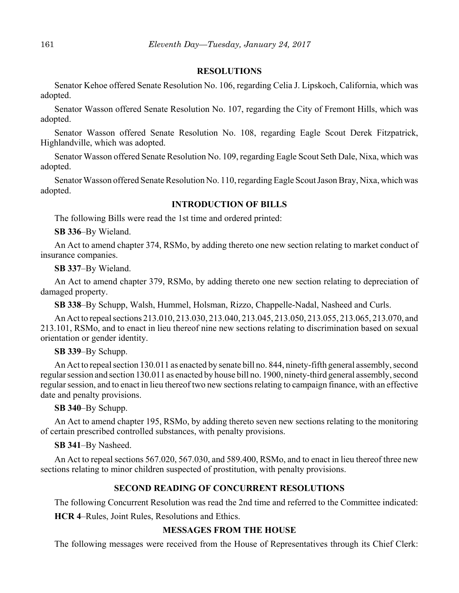#### **RESOLUTIONS**

Senator Kehoe offered Senate Resolution No. 106, regarding Celia J. Lipskoch, California, which was adopted.

Senator Wasson offered Senate Resolution No. 107, regarding the City of Fremont Hills, which was adopted.

Senator Wasson offered Senate Resolution No. 108, regarding Eagle Scout Derek Fitzpatrick, Highlandville, which was adopted.

Senator Wasson offered Senate Resolution No. 109, regarding Eagle Scout Seth Dale, Nixa, which was adopted.

Senator Wasson offered Senate Resolution No. 110, regarding Eagle Scout Jason Bray, Nixa, which was adopted.

#### **INTRODUCTION OF BILLS**

The following Bills were read the 1st time and ordered printed:

**SB 336**–By Wieland.

An Act to amend chapter 374, RSMo, by adding thereto one new section relating to market conduct of insurance companies.

**SB 337**–By Wieland.

An Act to amend chapter 379, RSMo, by adding thereto one new section relating to depreciation of damaged property.

**SB 338**–By Schupp, Walsh, Hummel, Holsman, Rizzo, Chappelle-Nadal, Nasheed and Curls.

An Act to repeal sections 213.010, 213.030, 213.040, 213.045, 213.050, 213.055, 213.065, 213.070, and 213.101, RSMo, and to enact in lieu thereof nine new sections relating to discrimination based on sexual orientation or gender identity.

**SB 339**–By Schupp.

An Act to repeal section 130.011 as enacted by senate bill no. 844, ninety-fifth general assembly, second regular session and section 130.011 as enacted by house bill no. 1900, ninety-third general assembly, second regular session, and to enact in lieu thereof two new sections relating to campaign finance, with an effective date and penalty provisions.

**SB 340**–By Schupp.

An Act to amend chapter 195, RSMo, by adding thereto seven new sections relating to the monitoring of certain prescribed controlled substances, with penalty provisions.

**SB 341**–By Nasheed.

An Act to repeal sections 567.020, 567.030, and 589.400, RSMo, and to enact in lieu thereof three new sections relating to minor children suspected of prostitution, with penalty provisions.

#### **SECOND READING OF CONCURRENT RESOLUTIONS**

The following Concurrent Resolution was read the 2nd time and referred to the Committee indicated:

**HCR 4**–Rules, Joint Rules, Resolutions and Ethics.

#### **MESSAGES FROM THE HOUSE**

The following messages were received from the House of Representatives through its Chief Clerk: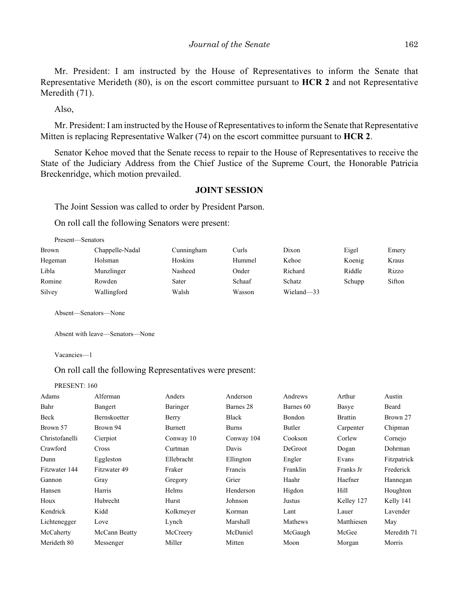Mr. President: I am instructed by the House of Representatives to inform the Senate that Representative Merideth (80), is on the escort committee pursuant to **HCR 2** and not Representative Meredith (71).

Also,

Mr. President: I am instructed by the House of Representatives to inform the Senate that Representative Mitten is replacing Representative Walker (74) on the escort committee pursuant to **HCR 2**.

Senator Kehoe moved that the Senate recess to repair to the House of Representatives to receive the State of the Judiciary Address from the Chief Justice of the Supreme Court, the Honorable Patricia Breckenridge, which motion prevailed.

#### **JOINT SESSION**

The Joint Session was called to order by President Parson.

On roll call the following Senators were present:

| Present—Senators |                 |            |        |            |        |        |
|------------------|-----------------|------------|--------|------------|--------|--------|
| Brown            | Chappelle-Nadal | Cunningham | Curls  | Dixon      | Eigel  | Emery  |
| Hegeman          | Holsman         | Hoskins    | Hummel | Kehoe      | Koenig | Kraus  |
| Libla            | Munzlinger      | Nasheed    | Onder  | Richard    | Riddle | Rizzo  |
| Romine           | Rowden          | Sater      | Schaaf | Schatz     | Schupp | Sifton |
| Silvey           | Wallingford     | Walsh      | Wasson | Wieland-33 |        |        |

Absent—Senators—None

Absent with leave—Senators—None

Vacancies—1

#### On roll call the following Representatives were present:

PRESENT: 160

| Beard       |
|-------------|
| Brown 27    |
| Chipman     |
| Cornejo     |
| Dohrman     |
| Fitzpatrick |
| Frederick   |
| Hannegan    |
| Houghton    |
| Kelly 141   |
| Lavender    |
| May         |
| Meredith 71 |
| Morris      |
|             |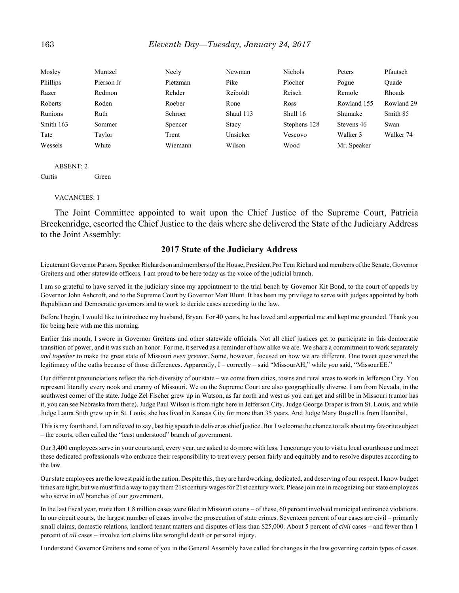| Mosley    | Muntzel    | Neely    | Newman    | Nichols      | Peters      | Pfautsch      |
|-----------|------------|----------|-----------|--------------|-------------|---------------|
| Phillips  | Pierson Jr | Pietzman | Pike      | Plocher      | Pogue       | Ouade         |
| Razer     | Redmon     | Rehder   | Reiboldt  | Reisch       | Remole      | <b>Rhoads</b> |
| Roberts   | Roden      | Roeber   | Rone      | Ross         | Rowland 155 | Rowland 29    |
| Runions   | Ruth       | Schroer  | Shaul 113 | Shull 16     | Shumake     | Smith 85      |
| Smith 163 | Sommer     | Spencer  | Stacy     | Stephens 128 | Stevens 46  | Swan          |
| Tate      | Taylor     | Trent    | Unsicker  | Vescovo      | Walker 3    | Walker 74     |
| Wessels   | White      | Wiemann  | Wilson    | Wood         | Mr. Speaker |               |

ABSENT: 2 Curtis Green

VACANCIES: 1

The Joint Committee appointed to wait upon the Chief Justice of the Supreme Court, Patricia Breckenridge, escorted the Chief Justice to the dais where she delivered the State of the Judiciary Address to the Joint Assembly:

#### **2017 State of the Judiciary Address**

Lieutenant Governor Parson, Speaker Richardson and members of the House, President Pro Tem Richard and members of the Senate, Governor Greitens and other statewide officers. I am proud to be here today as the voice of the judicial branch.

I am so grateful to have served in the judiciary since my appointment to the trial bench by Governor Kit Bond, to the court of appeals by Governor John Ashcroft, and to the Supreme Court by Governor Matt Blunt. It has been my privilege to serve with judges appointed by both Republican and Democratic governors and to work to decide cases according to the law.

Before I begin, I would like to introduce my husband, Bryan. For 40 years, he has loved and supported me and kept me grounded. Thank you for being here with me this morning.

Earlier this month, I swore in Governor Greitens and other statewide officials. Not all chief justices get to participate in this democratic transition of power, and it was such an honor. For me, it served as a reminder of how alike we are. We share a commitment to work separately *and together* to make the great state of Missouri *even greater*. Some, however, focused on how we are different. One tweet questioned the legitimacy of the oaths because of those differences. Apparently, I – correctly – said "MissourAH," while *you* said, "MissourEE."

Our different pronunciations reflect the rich diversity of our state – we come from cities, towns and rural areas to work in Jefferson City. You represent literally every nook and cranny of Missouri. We on the Supreme Court are also geographically diverse. I am from Nevada, in the southwest corner of the state. Judge Zel Fischer grew up in Watson, as far north and west as you can get and still be in Missouri (rumor has it, you can see Nebraska from there). Judge Paul Wilson is from right here in Jefferson City. Judge George Draper is from St. Louis, and while Judge Laura Stith grew up in St. Louis, she has lived in Kansas City for more than 35 years. And Judge Mary Russell is from Hannibal.

This is my fourth and, I am relieved to say, last big speech to deliver as chief justice. But I welcome the chance to talk about my favorite subject – the courts, often called the "least understood" branch of government.

Our 3,400 employees serve in your courts and, every year, are asked to do more with less. I encourage you to visit a local courthouse and meet these dedicated professionals who embrace their responsibility to treat every person fairly and equitably and to resolve disputes according to the law.

Our state employees are the lowest paid in the nation. Despite this, they are hardworking, dedicated, and deserving of our respect. I know budget times are tight, but we must find a way to pay them 21st century wages for 21st century work. Please join me in recognizing our state employees who serve in *all* branches of our government.

In the last fiscal year, more than 1.8 million cases were filed in Missouri courts – of these, 60 percent involved municipal ordinance violations. In our circuit courts, the largest number of cases involve the prosecution of state crimes. Seventeen percent of our cases are civil – primarily small claims, domestic relations, landlord tenant matters and disputes of less than \$25,000. About 5 percent of *civil* cases – and fewer than 1 percent of *all* cases – involve tort claims like wrongful death or personal injury.

I understand Governor Greitens and some of you in the General Assembly have called for changes in the law governing certain types of cases.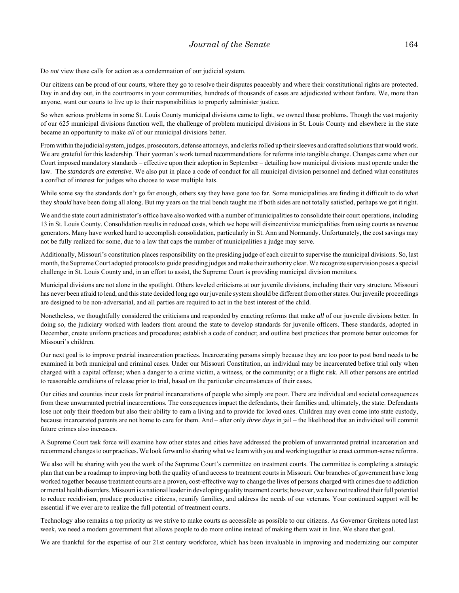Do *not* view these calls for action as a condemnation of our judicial system.

Our citizens can be proud of our courts, where they go to resolve their disputes peaceably and where their constitutional rights are protected. Day in and day out, in the courtrooms in your communities, hundreds of thousands of cases are adjudicated without fanfare. We, more than anyone, want our courts to live up to their responsibilities to properly administer justice.

So when serious problems in some St. Louis County municipal divisions came to light, we owned those problems. Though the vast majority of our 625 municipal divisions function well, the challenge of problem municipal divisions in St. Louis County and elsewhere in the state became an opportunity to make *all* of our municipal divisions better.

From within the judicial system, judges, prosecutors, defense attorneys, and clerks rolled up their sleeves and crafted solutions that would work. We are grateful for this leadership. Their yeoman's work turned recommendations for reforms into tangible change. Changes came when our Court imposed mandatory standards – effective upon their adoption in September – detailing how municipal divisions must operate under the law. The *standards are extensive*. We also put in place a code of conduct for all municipal division personnel and defined what constitutes a conflict of interest for judges who choose to wear multiple hats.

While some say the standards don't go far enough, others say they have gone too far. Some municipalities are finding it difficult to do what they *should* have been doing all along. But my years on the trial bench taught me if both sides are not totally satisfied, perhaps we got it right.

We and the state court administrator's office have also worked with a number of municipalities to consolidate their court operations, including 13 in St. Louis County. Consolidation results in reduced costs, which we hope will disincentivize municipalities from using courts as revenue generators. Many have worked hard to accomplish consolidation, particularly in St. Ann and Normandy. Unfortunately, the cost savings may not be fully realized for some, due to a law that caps the number of municipalities a judge may serve.

Additionally, Missouri's constitution places responsibility on the presiding judge of each circuit to supervise the municipal divisions. So, last month, the Supreme Court adopted protocols to guide presiding judges and make their authority clear. We recognize supervision poses a special challenge in St. Louis County and, in an effort to assist, the Supreme Court is providing municipal division monitors.

Municipal divisions are not alone in the spotlight. Others leveled criticisms at our juvenile divisions, including their very structure. Missouri has never been afraid to lead, and this state decided long ago our juvenile system should be different from other states. Our juvenile proceedings are designed to be non-adversarial, and all parties are required to act in the best interest of the child.

Nonetheless, we thoughtfully considered the criticisms and responded by enacting reforms that make *all* of our juvenile divisions better. In doing so, the judiciary worked with leaders from around the state to develop standards for juvenile officers. These standards, adopted in December, create uniform practices and procedures; establish a code of conduct; and outline best practices that promote better outcomes for Missouri's children.

Our next goal is to improve pretrial incarceration practices. Incarcerating persons simply because they are too poor to post bond needs to be examined in both municipal and criminal cases. Under our Missouri Constitution, an individual may be incarcerated before trial only when charged with a capital offense; when a danger to a crime victim, a witness, or the community; or a flight risk. All other persons are entitled to reasonable conditions of release prior to trial, based on the particular circumstances of their cases.

Our cities and counties incur costs for pretrial incarcerations of people who simply are poor. There are individual and societal consequences from these unwarranted pretrial incarcerations. The consequences impact the defendants, their families and, ultimately, the state. Defendants lose not only their freedom but also their ability to earn a living and to provide for loved ones. Children may even come into state custody, because incarcerated parents are not home to care for them. And – after only *three days* in jail – the likelihood that an individual will commit future crimes also increases.

A Supreme Court task force will examine how other states and cities have addressed the problem of unwarranted pretrial incarceration and recommend changes to our practices. We look forward to sharing what we learn with you and working together to enact common-sense reforms.

We also will be sharing with you the work of the Supreme Court's committee on treatment courts. The committee is completing a strategic plan that can be a roadmap to improving both the quality of and access to treatment courts in Missouri. Our branches of government have long worked together because treatment courts are a proven, cost-effective way to change the lives of persons charged with crimes due to addiction or mental health disorders. Missouri is a national leader in developing quality treatment courts; however, we have not realized their full potential to reduce recidivism, produce productive citizens, reunify families, and address the needs of our veterans. Your continued support will be essential if we ever are to realize the full potential of treatment courts.

Technology also remains a top priority as we strive to make courts as accessible as possible to our citizens. As Governor Greitens noted last week, we need a modern government that allows people to do more online instead of making them wait in line. We share that goal.

We are thankful for the expertise of our 21st century workforce, which has been invaluable in improving and modernizing our computer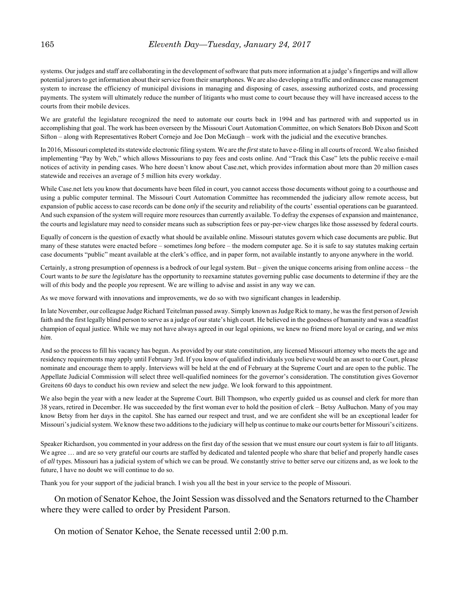systems. Our judges and staff are collaborating in the development of software that puts more information at a judge's fingertips and will allow potential jurors to get information about their service from their smartphones. We are also developing a traffic and ordinance case management system to increase the efficiency of municipal divisions in managing and disposing of cases, assessing authorized costs, and processing payments. The system will ultimately reduce the number of litigants who must come to court because they will have increased access to the courts from their mobile devices.

We are grateful the legislature recognized the need to automate our courts back in 1994 and has partnered with and supported us in accomplishing that goal. The work has been overseen by the Missouri Court Automation Committee, on which Senators Bob Dixon and Scott Sifton – along with Representatives Robert Cornejo and Joe Don McGaugh – work with the judicial and the executive branches.

In 2016, Missouri completed its statewide electronic filing system. We are *the first* state to have e-filing in all courts of record. We also finished implementing "Pay by Web," which allows Missourians to pay fees and costs online. And "Track this Case" lets the public receive e-mail notices of activity in pending cases. Who here doesn't know about Case.net, which provides information about more than 20 million cases statewide and receives an average of 5 million hits every workday.

While Case.net lets you know that documents have been filed in court, you cannot access those documents without going to a courthouse and using a public computer terminal. The Missouri Court Automation Committee has recommended the judiciary allow remote access, but expansion of public access to case records can be done *only* if the security and reliability of the courts' essential operations can be guaranteed. And such expansion of the system will require more resources than currently available. To defray the expenses of expansion and maintenance, the courts and legislature may need to consider means such as subscription fees or pay-per-view charges like those assessed by federal courts.

Equally of concern is the question of exactly what should be available online. Missouri statutes govern which case documents are public. But many of these statutes were enacted before – sometimes *long* before – the modern computer age. So it is safe to say statutes making certain case documents "public" meant available at the clerk's office, and in paper form, not available instantly to anyone anywhere in the world.

Certainly, a strong presumption of openness is a bedrock of our legal system. But – given the unique concerns arising from online access – the Court wants to *be sure* the *legislature* has the opportunity to reexamine statutes governing public case documents to determine if they are the will of *this* body and the people *you* represent. We are willing to advise and assist in any way we can.

As we move forward with innovations and improvements, we do so with two significant changes in leadership.

In late November, our colleague Judge Richard Teitelman passed away. Simply known as Judge Rick to many, he was the first person of Jewish faith and the first legally blind person to serve as a judge of our state's high court. He believed in the goodness of humanity and was a steadfast champion of equal justice. While we may not have always agreed in our legal opinions, we knew no friend more loyal or caring, and *we miss him*.

And so the process to fill his vacancy has begun. As provided by our state constitution, any licensed Missouri attorney who meets the age and residency requirements may apply until February 3rd. If you know of qualified individuals you believe would be an asset to our Court, please nominate and encourage them to apply. Interviews will be held at the end of February at the Supreme Court and are open to the public. The Appellate Judicial Commission will select three well-qualified nominees for the governor's consideration. The constitution gives Governor Greitens 60 days to conduct his own review and select the new judge. We look forward to this appointment.

We also begin the year with a new leader at the Supreme Court. Bill Thompson, who expertly guided us as counsel and clerk for more than 38 years, retired in December. He was succeeded by the first woman ever to hold the position of clerk – Betsy AuBuchon. Many of you may know Betsy from her days in the capitol. She has earned our respect and trust, and we are confident she will be an exceptional leader for Missouri's judicial system. We know these two additions to the judiciary will help us continue to make our courts better for Missouri's citizens.

Speaker Richardson, you commented in your address on the first day of the session that we must ensure our court system is fair to *all* litigants. We agree ... and are so very grateful our courts are staffed by dedicated and talented people who share that belief and properly handle cases of *all* types. Missouri has a judicial system of which we can be proud. We constantly strive to better serve our citizens and, as we look to the future, I have no doubt we will continue to do so.

Thank you for your support of the judicial branch. I wish you all the best in your service to the people of Missouri.

On motion of Senator Kehoe, the Joint Session was dissolved and the Senators returned to the Chamber where they were called to order by President Parson.

On motion of Senator Kehoe, the Senate recessed until 2:00 p.m.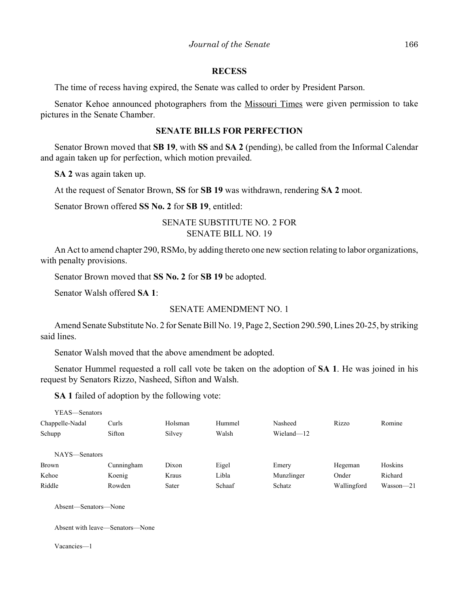#### **RECESS**

The time of recess having expired, the Senate was called to order by President Parson.

Senator Kehoe announced photographers from the Missouri Times were given permission to take pictures in the Senate Chamber.

#### **SENATE BILLS FOR PERFECTION**

Senator Brown moved that **SB 19**, with **SS** and **SA 2** (pending), be called from the Informal Calendar and again taken up for perfection, which motion prevailed.

**SA 2** was again taken up.

At the request of Senator Brown, **SS** for **SB 19** was withdrawn, rendering **SA 2** moot.

Senator Brown offered **SS No. 2** for **SB 19**, entitled:

SENATE SUBSTITUTE NO. 2 FOR SENATE BILL NO. 19

An Act to amend chapter 290, RSMo, by adding thereto one new section relating to labor organizations, with penalty provisions.

Senator Brown moved that **SS No. 2** for **SB 19** be adopted.

Senator Walsh offered **SA 1**:

#### SENATE AMENDMENT NO. 1

Amend Senate Substitute No. 2 for Senate Bill No. 19, Page 2, Section 290.590, Lines 20-25, by striking said lines.

Senator Walsh moved that the above amendment be adopted.

Senator Hummel requested a roll call vote be taken on the adoption of **SA 1**. He was joined in his request by Senators Rizzo, Nasheed, Sifton and Walsh.

**SA 1** failed of adoption by the following vote:

| YEAS—Senators   |            |         |        |            |             |               |
|-----------------|------------|---------|--------|------------|-------------|---------------|
| Chappelle-Nadal | Curls      | Holsman | Hummel | Nasheed    | Rizzo       | Romine        |
| Schupp          | Sifton     | Silvey  | Walsh  | Wieland-12 |             |               |
| NAYS-Senators   |            |         |        |            |             |               |
| <b>Brown</b>    | Cunningham | Dixon   | Eigel  | Emery      | Hegeman     | Hoskins       |
| Kehoe           | Koenig     | Kraus   | Libla  | Munzlinger | Onder       | Richard       |
| Riddle          | Rowden     | Sater   | Schaaf | Schatz     | Wallingford | $Wasson - 21$ |

Absent—Senators—None

Absent with leave—Senators—None

Vacancies—1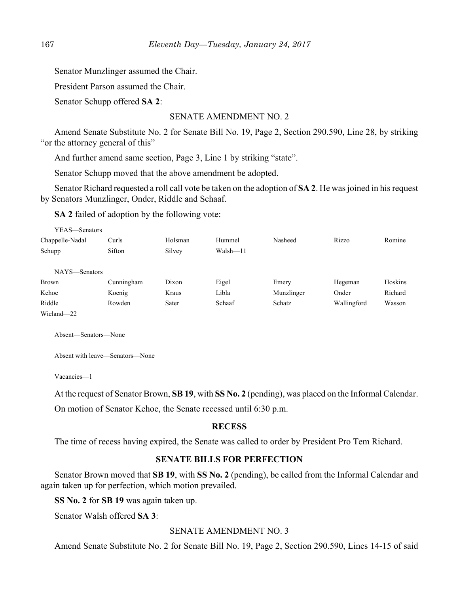Senator Munzlinger assumed the Chair.

President Parson assumed the Chair.

Senator Schupp offered **SA 2**:

#### SENATE AMENDMENT NO. 2

Amend Senate Substitute No. 2 for Senate Bill No. 19, Page 2, Section 290.590, Line 28, by striking "or the attorney general of this"

And further amend same section, Page 3, Line 1 by striking "state".

Senator Schupp moved that the above amendment be adopted.

Senator Richard requested a roll call vote be taken on the adoption of **SA 2**. He was joined in his request by Senators Munzlinger, Onder, Riddle and Schaaf.

**SA 2** failed of adoption by the following vote:

| YEAS—Senators   |            |         |          |            |             |         |
|-----------------|------------|---------|----------|------------|-------------|---------|
| Chappelle-Nadal | Curls      | Holsman | Hummel   | Nasheed    | Rizzo       | Romine  |
| Schupp          | Sifton     | Silvey  | Walsh-11 |            |             |         |
|                 |            |         |          |            |             |         |
| NAYS—Senators   |            |         |          |            |             |         |
| <b>Brown</b>    | Cunningham | Dixon   | Eigel    | Emery      | Hegeman     | Hoskins |
| Kehoe           | Koenig     | Kraus   | Libla    | Munzlinger | Onder       | Richard |
| Riddle          | Rowden     | Sater   | Schaaf   | Schatz     | Wallingford | Wasson  |
| Wieland-22      |            |         |          |            |             |         |

Absent—Senators—None

Absent with leave—Senators—None

Vacancies—1

At the request of Senator Brown, **SB 19**, with **SS No. 2** (pending), was placed on the Informal Calendar. On motion of Senator Kehoe, the Senate recessed until 6:30 p.m.

#### **RECESS**

The time of recess having expired, the Senate was called to order by President Pro Tem Richard.

#### **SENATE BILLS FOR PERFECTION**

Senator Brown moved that **SB 19**, with **SS No. 2** (pending), be called from the Informal Calendar and again taken up for perfection, which motion prevailed.

**SS No. 2** for **SB 19** was again taken up.

Senator Walsh offered **SA 3**:

#### SENATE AMENDMENT NO. 3

Amend Senate Substitute No. 2 for Senate Bill No. 19, Page 2, Section 290.590, Lines 14-15 of said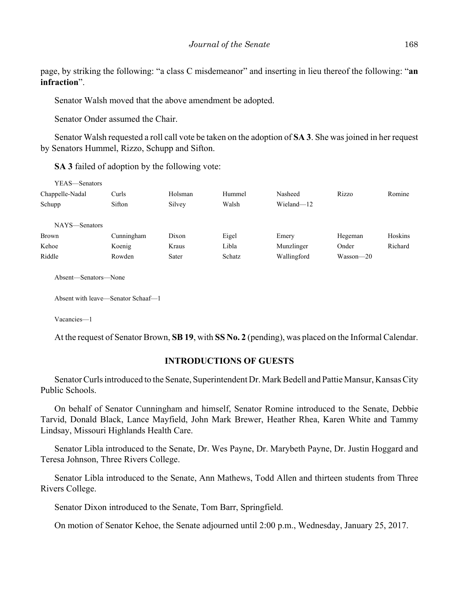page, by striking the following: "a class C misdemeanor" and inserting in lieu thereof the following: "**an infraction**".

Senator Walsh moved that the above amendment be adopted.

Senator Onder assumed the Chair.

Senator Walsh requested a roll call vote be taken on the adoption of **SA 3**. She was joined in her request by Senators Hummel, Rizzo, Schupp and Sifton.

**SA 3** failed of adoption by the following vote:

| YEAS—Senators   |            |         |        |             |           |         |
|-----------------|------------|---------|--------|-------------|-----------|---------|
| Chappelle-Nadal | Curls      | Holsman | Hummel | Nasheed     | Rizzo     | Romine  |
| Schupp          | Sifton     | Silvey  | Walsh  | Wieland-12  |           |         |
|                 |            |         |        |             |           |         |
| NAYS—Senators   |            |         |        |             |           |         |
| <b>Brown</b>    | Cunningham | Dixon   | Eigel  | Emery       | Hegeman   | Hoskins |
| Kehoe           | Koenig     | Kraus   | Libla  | Munzlinger  | Onder     | Richard |
| Riddle          | Rowden     | Sater   | Schatz | Wallingford | Wasson—20 |         |
|                 |            |         |        |             |           |         |

Absent—Senators—None

Absent with leave—Senator Schaaf—1

Vacancies—1

At the request of Senator Brown, **SB 19**, with **SS No. 2** (pending), was placed on the Informal Calendar.

#### **INTRODUCTIONS OF GUESTS**

Senator Curls introduced to the Senate, Superintendent Dr. Mark Bedell and Pattie Mansur, Kansas City Public Schools.

On behalf of Senator Cunningham and himself, Senator Romine introduced to the Senate, Debbie Tarvid, Donald Black, Lance Mayfield, John Mark Brewer, Heather Rhea, Karen White and Tammy Lindsay, Missouri Highlands Health Care.

Senator Libla introduced to the Senate, Dr. Wes Payne, Dr. Marybeth Payne, Dr. Justin Hoggard and Teresa Johnson, Three Rivers College.

Senator Libla introduced to the Senate, Ann Mathews, Todd Allen and thirteen students from Three Rivers College.

Senator Dixon introduced to the Senate, Tom Barr, Springfield.

On motion of Senator Kehoe, the Senate adjourned until 2:00 p.m., Wednesday, January 25, 2017.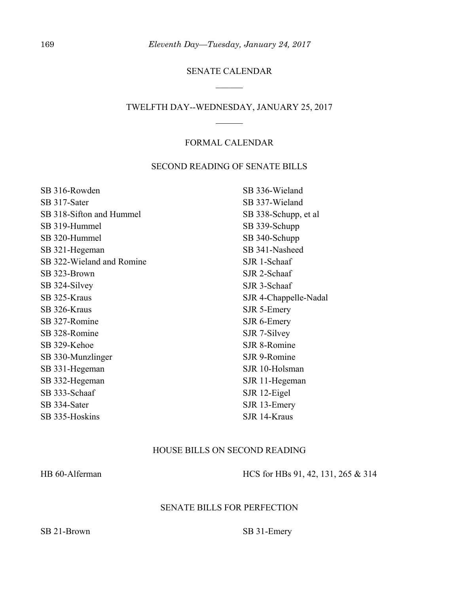### SENATE CALENDAR

#### TWELFTH DAY--WEDNESDAY, JANUARY 25, 2017

#### FORMAL CALENDAR

#### SECOND READING OF SENATE BILLS

SB 316-Rowden SB 317-Sater SB 318-Sifton and Hummel SB 319-Hummel SB 320-Hummel SB 321-Hegeman SB 322-Wieland and Romine SB 323-Brown SB 324-Silvey SB 325-Kraus SB 326-Kraus SB 327-Romine SB 328-Romine SB 329-Kehoe SB 330-Munzlinger SB 331-Hegeman SB 332-Hegeman SB 333-Schaaf SB 334-Sater SB 335-Hoskins SB 336-Wieland SB 337-Wieland

# SB 338-Schupp, et al SB 339-Schupp SB 340-Schupp SB 341-Nasheed SJR 1-Schaaf SJR 2-Schaaf SJR 3-Schaaf SJR 4-Chappelle-Nadal SJR 5-Emery SJR 6-Emery SJR 7-Silvey SJR 8-Romine SJR 9-Romine SJR 10-Holsman SJR 11-Hegeman SJR 12-Eigel SJR 13-Emery SJR 14-Kraus

#### HOUSE BILLS ON SECOND READING

HB 60-Alferman HCS for HBs 91, 42, 131, 265 & 314

#### SENATE BILLS FOR PERFECTION

SB 21-Brown SB 31-Emery